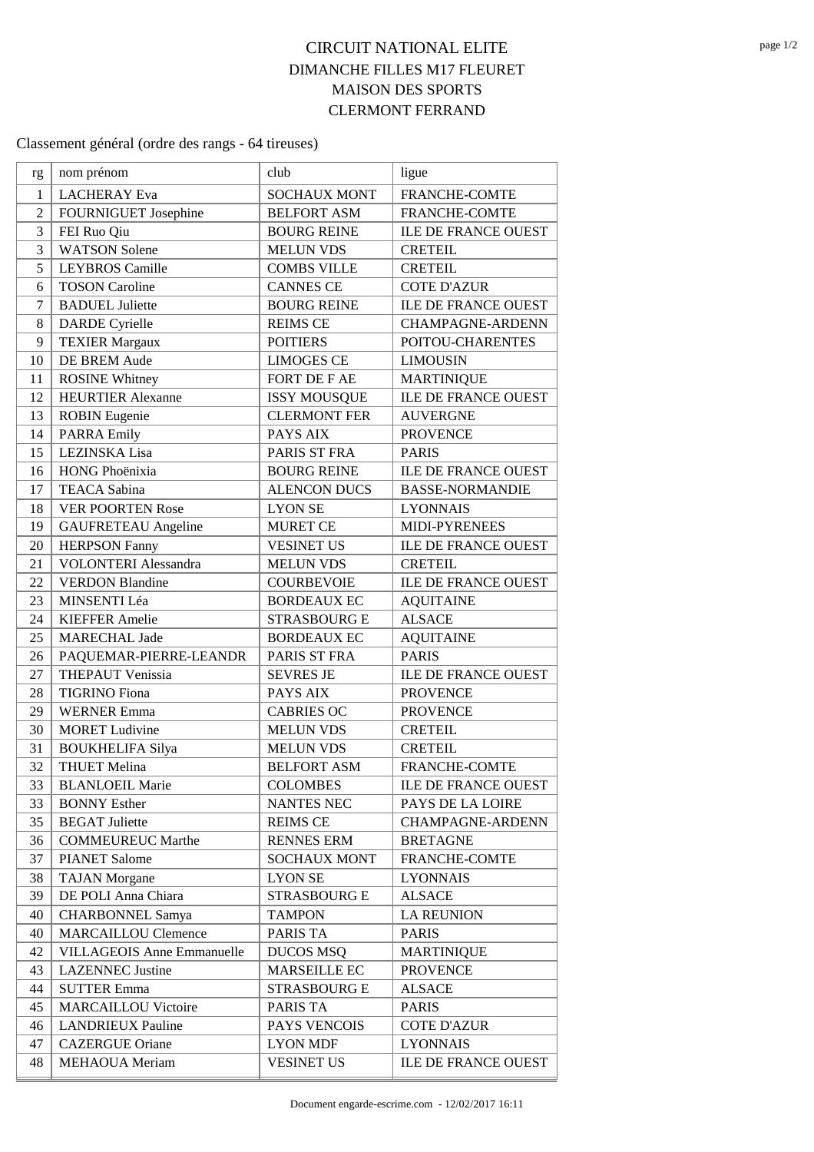## **CIRCUIT NATIONAL ELITE DIMANCHE FILLES M17 FLEURET MAISON DES SPORTS CLERMONT FERRAND**

## Classement général (ordre des rangs - 64 tireuses)

| rg             | nom prénom                        | club                | ligue                      |
|----------------|-----------------------------------|---------------------|----------------------------|
| 1              | <b>LACHERAY</b> Eva               | <b>SOCHAUX MONT</b> | <b>FRANCHE-COMTE</b>       |
| $\overline{2}$ | FOURNIGUET Josephine              | <b>BELFORT ASM</b>  | FRANCHE-COMTE              |
| 3              | FEI Ruo Qiu                       | <b>BOURG REINE</b>  | ILE DE FRANCE OUEST        |
| 3              | <b>WATSON Solene</b>              | <b>MELUN VDS</b>    | <b>CRETEIL</b>             |
| 5              | <b>LEYBROS</b> Camille            | <b>COMBS VILLE</b>  | <b>CRETEIL</b>             |
| 6              | <b>TOSON Caroline</b>             | <b>CANNES CE</b>    | <b>COTE D'AZUR</b>         |
| 7              | <b>BADUEL Juliette</b>            | <b>BOURG REINE</b>  | <b>ILE DE FRANCE OUEST</b> |
| 8              | <b>DARDE</b> Cyrielle             | <b>REIMS CE</b>     | <b>CHAMPAGNE-ARDENN</b>    |
| 9              | <b>TEXIER Margaux</b>             | <b>POITIERS</b>     | POITOU-CHARENTES           |
| 10             | DE BREM Aude                      | <b>LIMOGES CE</b>   | <b>LIMOUSIN</b>            |
| 11             | <b>ROSINE Whitney</b>             | FORT DE F AE        | <b>MARTINIQUE</b>          |
| 12             | <b>HEURTIER Alexanne</b>          | <b>ISSY MOUSQUE</b> | ILE DE FRANCE OUEST        |
| 13             | <b>ROBIN</b> Eugenie              | <b>CLERMONT FER</b> | <b>AUVERGNE</b>            |
| 14             | <b>PARRA Emily</b>                | PAYS AIX            | <b>PROVENCE</b>            |
| 15             | LEZINSKA Lisa                     | PARIS ST FRA        | <b>PARIS</b>               |
| 16             | HONG Phoënixia                    | <b>BOURG REINE</b>  | <b>ILE DE FRANCE OUEST</b> |
| 17             | <b>TEACA Sabina</b>               | <b>ALENCON DUCS</b> | <b>BASSE-NORMANDIE</b>     |
| 18             | <b>VER POORTEN Rose</b>           | <b>LYON SE</b>      | <b>LYONNAIS</b>            |
| 19             | <b>GAUFRETEAU</b> Angeline        | <b>MURET CE</b>     | MIDI-PYRENEES              |
| 20             | <b>HERPSON Fanny</b>              | <b>VESINET US</b>   | <b>ILE DE FRANCE OUEST</b> |
| 21             | <b>VOLONTERI</b> Alessandra       | <b>MELUN VDS</b>    | <b>CRETEIL</b>             |
| 22             | <b>VERDON Blandine</b>            | <b>COURBEVOIE</b>   | <b>ILE DE FRANCE OUEST</b> |
| 23             | MINSENTI Léa                      | <b>BORDEAUX EC</b>  | <b>AQUITAINE</b>           |
| 24             | <b>KIEFFER Amelie</b>             | <b>STRASBOURG E</b> | <b>ALSACE</b>              |
| 25             | <b>MARECHAL Jade</b>              | <b>BORDEAUX EC</b>  | <b>AQUITAINE</b>           |
| 26             | PAQUEMAR-PIERRE-LEANDR            | PARIS ST FRA        | <b>PARIS</b>               |
| 27             | <b>THEPAUT Venissia</b>           | <b>SEVRES JE</b>    | <b>ILE DE FRANCE OUEST</b> |
| 28             | <b>TIGRINO</b> Fiona              | PAYS AIX            | <b>PROVENCE</b>            |
| 29             | <b>WERNER Emma</b>                | <b>CABRIES OC</b>   | <b>PROVENCE</b>            |
| 30             | <b>MORET</b> Ludivine             | <b>MELUN VDS</b>    | <b>CRETEIL</b>             |
| 31             | <b>BOUKHELIFA Silya</b>           | <b>MELUN VDS</b>    | <b>CRETEIL</b>             |
| 32             | <b>THUET Melina</b>               | <b>BELFORT ASM</b>  | FRANCHE-COMTE              |
| 33             | <b>BLANLOEIL Marie</b>            | <b>COLOMBES</b>     | ILE DE FRANCE OUEST        |
| 33             | <b>BONNY Esther</b>               | NANTES NEC          | PAYS DE LA LOIRE           |
| 35             | <b>BEGAT Juliette</b>             | <b>REIMS CE</b>     | <b>CHAMPAGNE-ARDENN</b>    |
| 36             | <b>COMMEUREUC Marthe</b>          | <b>RENNES ERM</b>   | <b>BRETAGNE</b>            |
| 37             | <b>PIANET Salome</b>              | <b>SOCHAUX MONT</b> | FRANCHE-COMTE              |
| 38             | <b>TAJAN</b> Morgane              | <b>LYON SE</b>      | <b>LYONNAIS</b>            |
| 39             | DE POLI Anna Chiara               | STRASBOURG E        | <b>ALSACE</b>              |
| 40             | <b>CHARBONNEL Samya</b>           | <b>TAMPON</b>       | <b>LA REUNION</b>          |
| 40             | <b>MARCAILLOU Clemence</b>        | PARIS TA            | <b>PARIS</b>               |
| 42             | <b>VILLAGEOIS Anne Emmanuelle</b> | <b>DUCOS MSQ</b>    | <b>MARTINIQUE</b>          |
| 43             | <b>LAZENNEC</b> Justine           | MARSEILLE EC        | <b>PROVENCE</b>            |
| 44             | <b>SUTTER Emma</b>                | <b>STRASBOURG E</b> | <b>ALSACE</b>              |
| 45             | <b>MARCAILLOU Victoire</b>        | PARIS TA            | PARIS                      |
| 46             | <b>LANDRIEUX Pauline</b>          | PAYS VENCOIS        | <b>COTE D'AZUR</b>         |
| 47             | <b>CAZERGUE Oriane</b>            | <b>LYON MDF</b>     | <b>LYONNAIS</b>            |
| 48             | <b>MEHAOUA</b> Meriam             | <b>VESINET US</b>   | ILE DE FRANCE OUEST        |